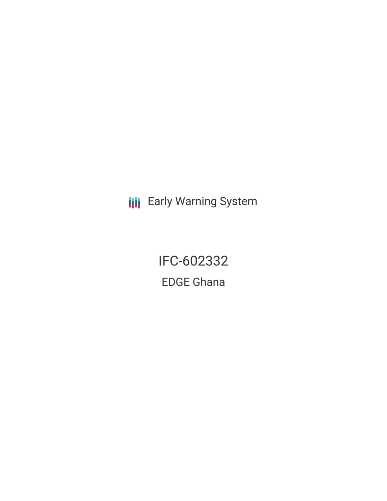**III** Early Warning System

IFC-602332 EDGE Ghana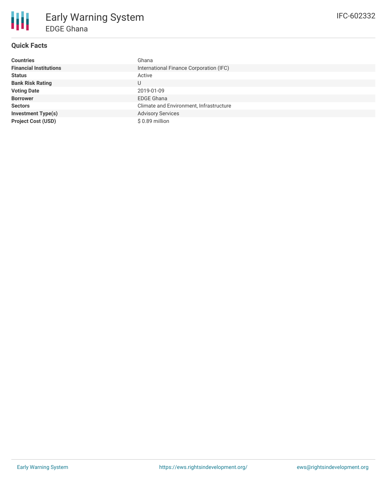

## **Quick Facts**

| <b>Countries</b>              | Ghana                                   |
|-------------------------------|-----------------------------------------|
| <b>Financial Institutions</b> | International Finance Corporation (IFC) |
| <b>Status</b>                 | Active                                  |
| <b>Bank Risk Rating</b>       | U                                       |
| <b>Voting Date</b>            | 2019-01-09                              |
| <b>Borrower</b>               | <b>EDGE Ghana</b>                       |
| <b>Sectors</b>                | Climate and Environment, Infrastructure |
| <b>Investment Type(s)</b>     | <b>Advisory Services</b>                |
| <b>Project Cost (USD)</b>     | \$ 0.89 million                         |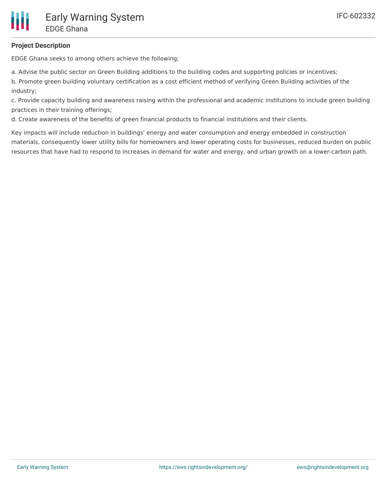### **Project Description**

EDGE Ghana seeks to among others achieve the following;

a. Advise the public sector on Green Building additions to the building codes and supporting policies or incentives;

b. Promote green building voluntary certification as a cost efficient method of verifying Green Building activities of the industry;

c. Provide capacity building and awareness raising within the professional and academic institutions to include green building practices in their training offerings;

d. Create awareness of the benefits of green financial products to financial institutions and their clients.

Key impacts will include reduction in buildings' energy and water consumption and energy embedded in construction materials, consequently lower utility bills for homeowners and lower operating costs for businesses, reduced burden on public resources that have had to respond to increases in demand for water and energy, and urban growth on a lower-carbon path.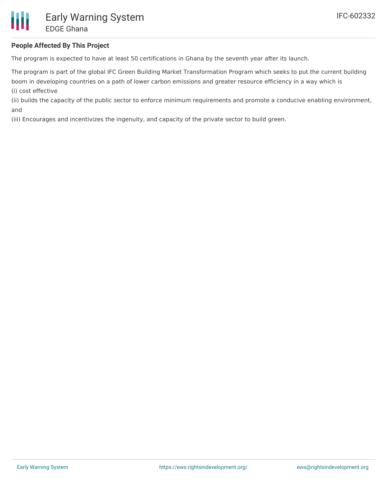#### **People Affected By This Project**

The program is expected to have at least 50 certifications in Ghana by the seventh year after its launch.

The program is part of the global IFC Green Building Market Transformation Program which seeks to put the current building boom in developing countries on a path of lower carbon emissions and greater resource efficiency in a way which is (i) cost effective

(ii) builds the capacity of the public sector to enforce minimum requirements and promote a conducive enabling environment, and

(iii) Encourages and incentivizes the ingenuity, and capacity of the private sector to build green.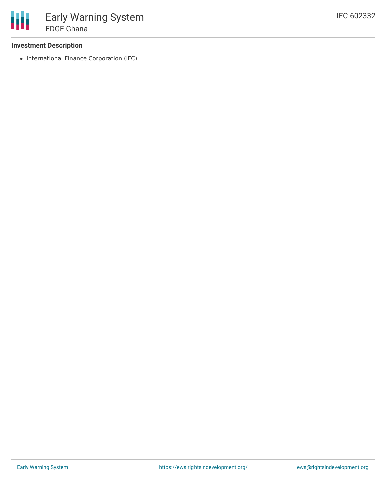#### **Investment Description**

• International Finance Corporation (IFC)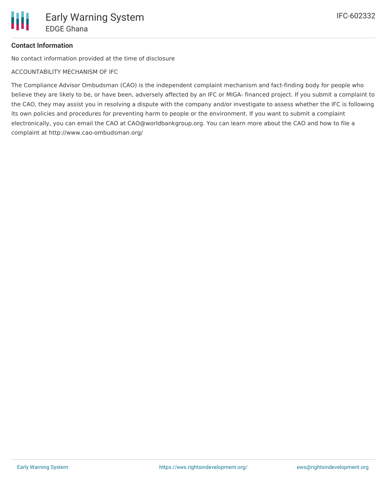# **Contact Information**

No contact information provided at the time of disclosure

ACCOUNTABILITY MECHANISM OF IFC

The Compliance Advisor Ombudsman (CAO) is the independent complaint mechanism and fact-finding body for people who believe they are likely to be, or have been, adversely affected by an IFC or MIGA- financed project. If you submit a complaint to the CAO, they may assist you in resolving a dispute with the company and/or investigate to assess whether the IFC is following its own policies and procedures for preventing harm to people or the environment. If you want to submit a complaint electronically, you can email the CAO at CAO@worldbankgroup.org. You can learn more about the CAO and how to file a complaint at http://www.cao-ombudsman.org/